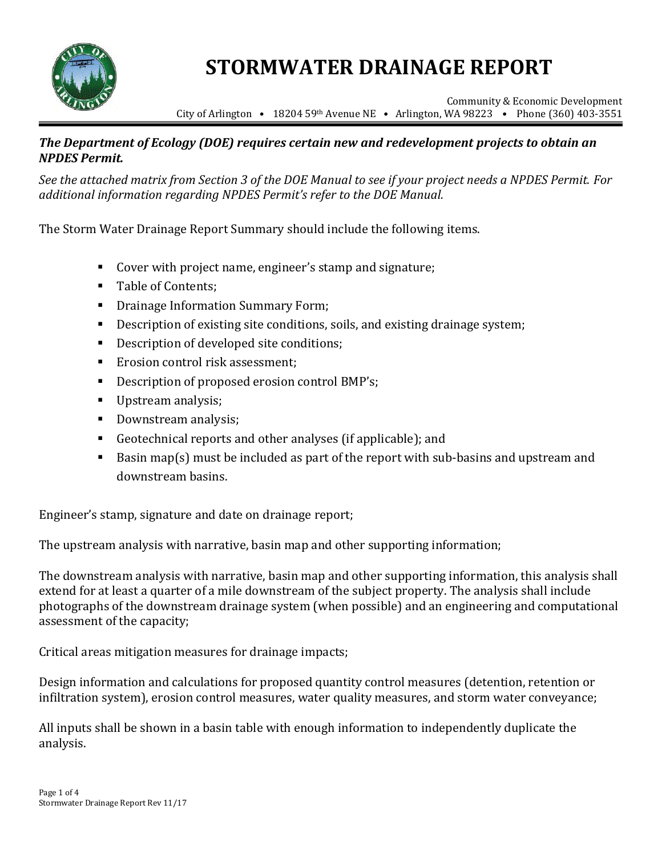

# **STORMWATER DRAINAGE REPORT**

Community & Economic Development City of Arlington **•** 18204 59th Avenue NE • Arlington, WA 98223 • Phone (360) 403-3551

### *The Department of Ecology (DOE) requires certain new and redevelopment projects to obtain an NPDES Permit.*

*See the attached matrix from Section 3 of the DOE Manual to see if your project needs a NPDES Permit. For additional information regarding NPDES Permit's refer to the DOE Manual.*

The Storm Water Drainage Report Summary should include the following items.

- Cover with project name, engineer's stamp and signature;
- Table of Contents;
- **Drainage Information Summary Form;**
- Description of existing site conditions, soils, and existing drainage system;
- Description of developed site conditions;
- Erosion control risk assessment:
- Description of proposed erosion control BMP's;
- Upstream analysis;
- Downstream analysis;
- Geotechnical reports and other analyses (if applicable); and
- Basin map(s) must be included as part of the report with sub-basins and upstream and downstream basins.

Engineer's stamp, signature and date on drainage report;

The upstream analysis with narrative, basin map and other supporting information;

The downstream analysis with narrative, basin map and other supporting information, this analysis shall extend for at least a quarter of a mile downstream of the subject property. The analysis shall include photographs of the downstream drainage system (when possible) and an engineering and computational assessment of the capacity;

Critical areas mitigation measures for drainage impacts;

Design information and calculations for proposed quantity control measures (detention, retention or infiltration system), erosion control measures, water quality measures, and storm water conveyance;

All inputs shall be shown in a basin table with enough information to independently duplicate the analysis.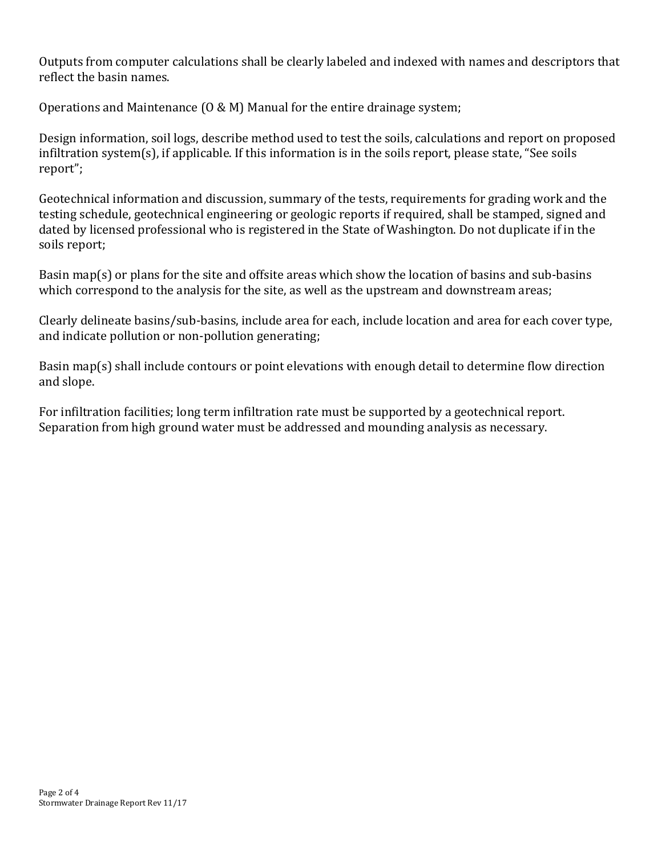Outputs from computer calculations shall be clearly labeled and indexed with names and descriptors that reflect the basin names.

Operations and Maintenance (O & M) Manual for the entire drainage system;

Design information, soil logs, describe method used to test the soils, calculations and report on proposed infiltration system(s), if applicable. If this information is in the soils report, please state, "See soils report";

Geotechnical information and discussion, summary of the tests, requirements for grading work and the testing schedule, geotechnical engineering or geologic reports if required, shall be stamped, signed and dated by licensed professional who is registered in the State of Washington. Do not duplicate if in the soils report;

Basin map(s) or plans for the site and offsite areas which show the location of basins and sub-basins which correspond to the analysis for the site, as well as the upstream and downstream areas;

Clearly delineate basins/sub-basins, include area for each, include location and area for each cover type, and indicate pollution or non-pollution generating;

Basin map(s) shall include contours or point elevations with enough detail to determine flow direction and slope.

For infiltration facilities; long term infiltration rate must be supported by a geotechnical report. Separation from high ground water must be addressed and mounding analysis as necessary.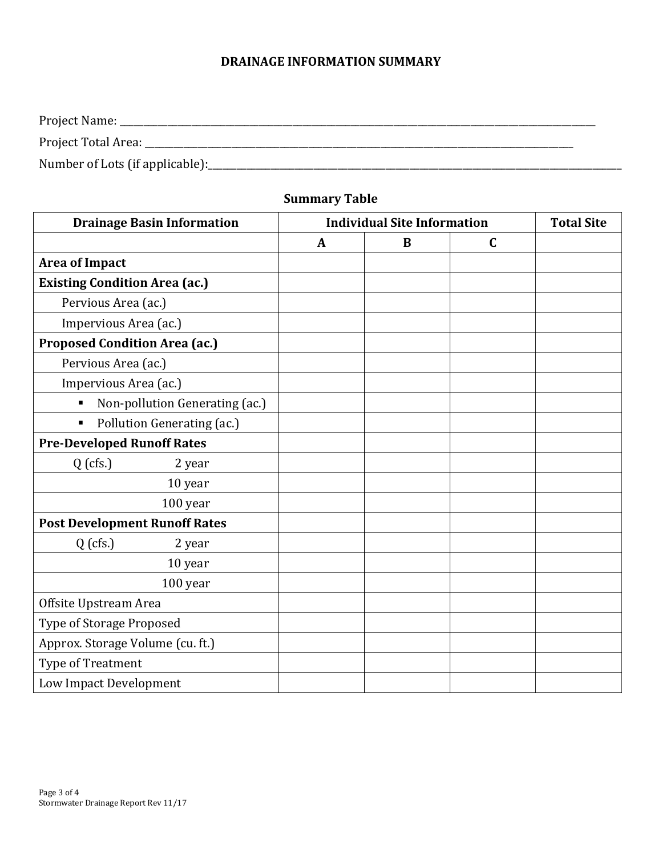## **DRAINAGE INFORMATION SUMMARY**

| Project Name:                   |
|---------------------------------|
| Project Total Area:             |
| Number of Lots (if applicable): |

# **Summary Table**

| <b>Drainage Basin Information</b>            | <b>Individual Site Information</b> |          |             | <b>Total Site</b> |
|----------------------------------------------|------------------------------------|----------|-------------|-------------------|
|                                              | $\mathbf{A}$                       | $\bf{B}$ | $\mathbf C$ |                   |
| <b>Area of Impact</b>                        |                                    |          |             |                   |
| <b>Existing Condition Area (ac.)</b>         |                                    |          |             |                   |
| Pervious Area (ac.)                          |                                    |          |             |                   |
| Impervious Area (ac.)                        |                                    |          |             |                   |
| <b>Proposed Condition Area (ac.)</b>         |                                    |          |             |                   |
| Pervious Area (ac.)                          |                                    |          |             |                   |
| Impervious Area (ac.)                        |                                    |          |             |                   |
| Non-pollution Generating (ac.)<br>П          |                                    |          |             |                   |
| Pollution Generating (ac.)<br>$\blacksquare$ |                                    |          |             |                   |
| <b>Pre-Developed Runoff Rates</b>            |                                    |          |             |                   |
| $Q$ (cfs.)<br>2 year                         |                                    |          |             |                   |
| 10 year                                      |                                    |          |             |                   |
| 100 year                                     |                                    |          |             |                   |
| <b>Post Development Runoff Rates</b>         |                                    |          |             |                   |
| $Q$ (cfs.)<br>2 year                         |                                    |          |             |                   |
| 10 year                                      |                                    |          |             |                   |
| 100 year                                     |                                    |          |             |                   |
| Offsite Upstream Area                        |                                    |          |             |                   |
| Type of Storage Proposed                     |                                    |          |             |                   |
| Approx. Storage Volume (cu. ft.)             |                                    |          |             |                   |
| Type of Treatment                            |                                    |          |             |                   |
| Low Impact Development                       |                                    |          |             |                   |